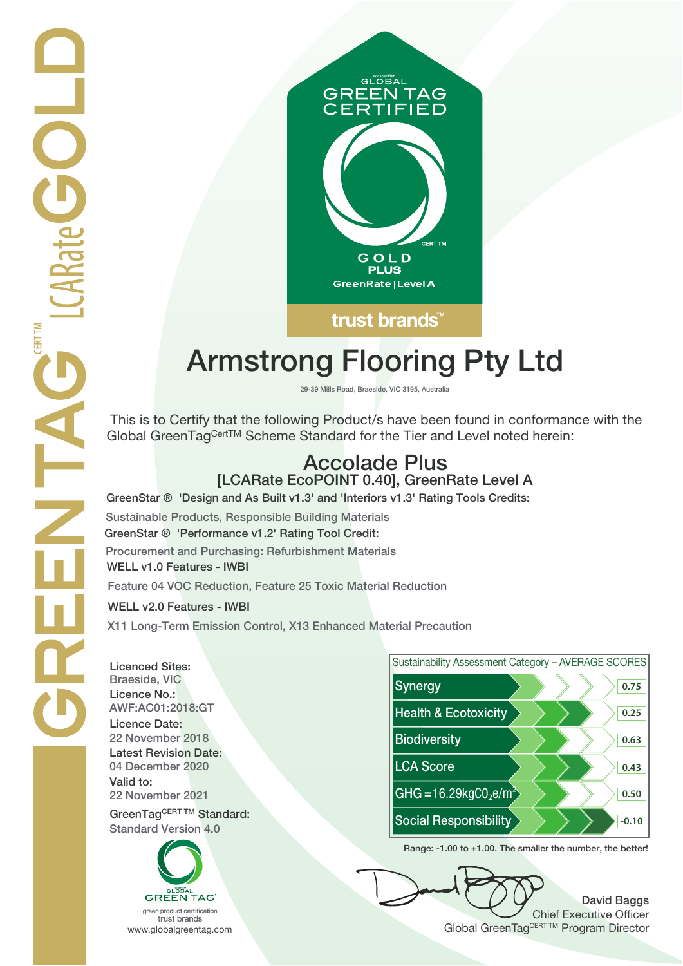

# **Armstrong Flooring Pty Ltd**

**29-39 Mills Road, Braeside, VIC 3195, Australia**

 This is to Certify that the following Product/s have been found in conformance with the Global GreenTagCertTM Scheme Standard for the Tier and Level noted herein:

## **Accolade Plus [LCARate EcoPOINT 0.40], GreenRate Level A**

**GreenStar ® 'Design and As Built v1.3' and 'Interiors v1.3' Rating Tools Credits:**

**Sustainable Products, Responsible Building Materials GreenStar ® 'Performance v1.2' Rating Tool Credit: Procurement and Purchasing: Refurbishment Materials WELL v1.0 Features - IWBI**

**Feature 04 VOC Reduction, Feature 25 Toxic Material Reduction**

**WELL v2.0 Features - IWBI**

**X11 Long-Term Emission Control, X13 Enhanced Material Precaution**

**Licenced Sites: Licence No.: Licence Date: Latest Revision Date: Valid to:**

**Standard Version 4.0**





**Range: -1.00 to +1.00. The smaller the number, the better!**

**David Baggs** Chief Executive Officer WWW.globalgreentag.com **Program Director** Clobal GreenTagCERT TM Program Director